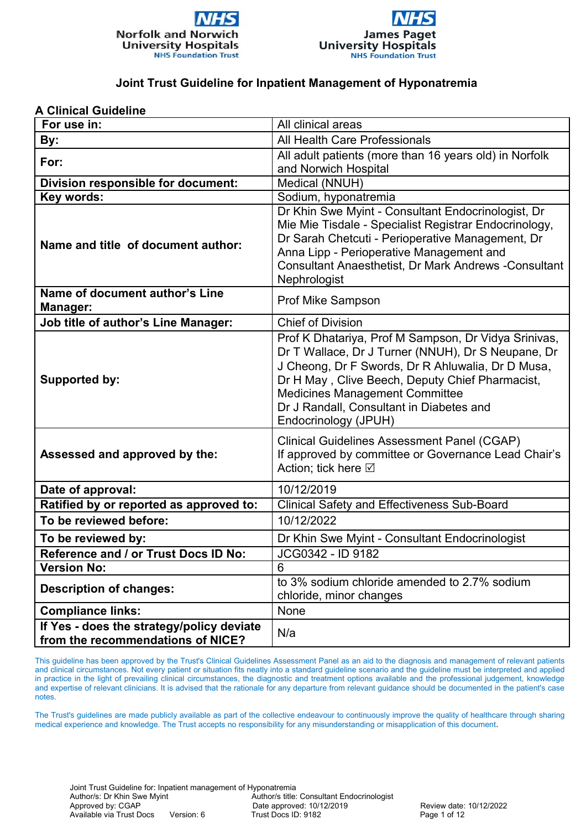



#### **A Clinical Guideline**

| For use in:                                                                    | All clinical areas                                                                                                                                                                                                                                                                                                       |  |
|--------------------------------------------------------------------------------|--------------------------------------------------------------------------------------------------------------------------------------------------------------------------------------------------------------------------------------------------------------------------------------------------------------------------|--|
| By:                                                                            | All Health Care Professionals                                                                                                                                                                                                                                                                                            |  |
| For:                                                                           | All adult patients (more than 16 years old) in Norfolk                                                                                                                                                                                                                                                                   |  |
|                                                                                | and Norwich Hospital                                                                                                                                                                                                                                                                                                     |  |
| Division responsible for document:                                             | Medical (NNUH)                                                                                                                                                                                                                                                                                                           |  |
| Key words:                                                                     | Sodium, hyponatremia                                                                                                                                                                                                                                                                                                     |  |
| Name and title of document author:                                             | Dr Khin Swe Myint - Consultant Endocrinologist, Dr<br>Mie Mie Tisdale - Specialist Registrar Endocrinology,<br>Dr Sarah Chetcuti - Perioperative Management, Dr<br>Anna Lipp - Perioperative Management and<br>Consultant Anaesthetist, Dr Mark Andrews -Consultant<br>Nephrologist                                      |  |
| Name of document author's Line<br><b>Manager:</b>                              | <b>Prof Mike Sampson</b>                                                                                                                                                                                                                                                                                                 |  |
| <b>Job title of author's Line Manager:</b>                                     | <b>Chief of Division</b>                                                                                                                                                                                                                                                                                                 |  |
| <b>Supported by:</b>                                                           | Prof K Dhatariya, Prof M Sampson, Dr Vidya Srinivas,<br>Dr T Wallace, Dr J Turner (NNUH), Dr S Neupane, Dr<br>J Cheong, Dr F Swords, Dr R Ahluwalia, Dr D Musa,<br>Dr H May, Clive Beech, Deputy Chief Pharmacist,<br>Medicines Management Committee<br>Dr J Randall, Consultant in Diabetes and<br>Endocrinology (JPUH) |  |
| Assessed and approved by the:                                                  | <b>Clinical Guidelines Assessment Panel (CGAP)</b><br>If approved by committee or Governance Lead Chair's<br>Action; tick here ⊠                                                                                                                                                                                         |  |
| Date of approval:                                                              | 10/12/2019                                                                                                                                                                                                                                                                                                               |  |
| Ratified by or reported as approved to:                                        | <b>Clinical Safety and Effectiveness Sub-Board</b>                                                                                                                                                                                                                                                                       |  |
| To be reviewed before:                                                         | 10/12/2022                                                                                                                                                                                                                                                                                                               |  |
| To be reviewed by:                                                             | Dr Khin Swe Myint - Consultant Endocrinologist                                                                                                                                                                                                                                                                           |  |
| Reference and / or Trust Docs ID No:                                           | JCG0342 - ID 9182                                                                                                                                                                                                                                                                                                        |  |
| <b>Version No:</b>                                                             | 6                                                                                                                                                                                                                                                                                                                        |  |
| <b>Description of changes:</b>                                                 | to 3% sodium chloride amended to 2.7% sodium<br>chloride, minor changes                                                                                                                                                                                                                                                  |  |
| <b>Compliance links:</b>                                                       | None                                                                                                                                                                                                                                                                                                                     |  |
| If Yes - does the strategy/policy deviate<br>from the recommendations of NICE? | N/a                                                                                                                                                                                                                                                                                                                      |  |

This guideline has been approved by the Trust's Clinical Guidelines Assessment Panel as an aid to the diagnosis and management of relevant patients and clinical circumstances. Not every patient or situation fits neatly into a standard guideline scenario and the guideline must be interpreted and applied in practice in the light of prevailing clinical circumstances, the diagnostic and treatment options available and the professional judgement, knowledge and expertise of relevant clinicians. It is advised that the rationale for any departure from relevant guidance should be documented in the patient's case notes.

The Trust's guidelines are made publicly available as part of the collective endeavour to continuously improve the quality of healthcare through sharing medical experience and knowledge. The Trust accepts no responsibility for any misunderstanding or misapplication of this document**.**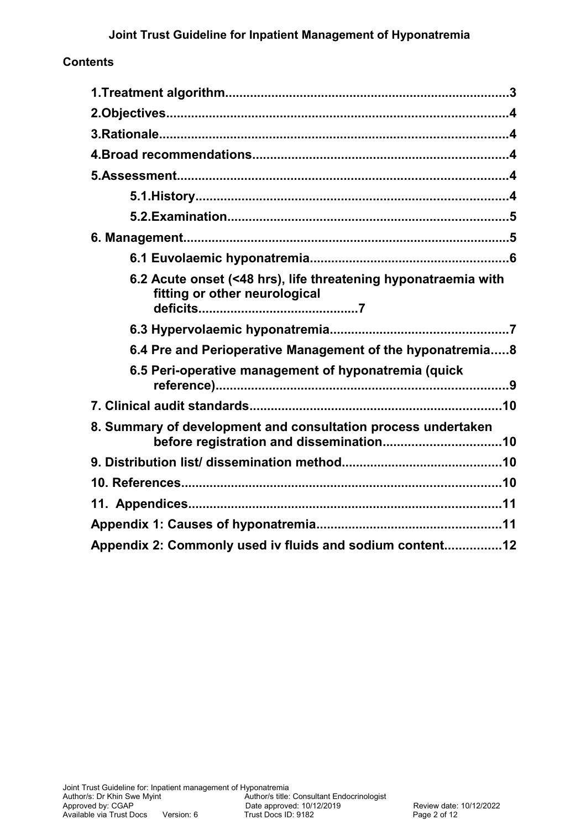### **Contents**

| 6.2 Acute onset (<48 hrs), life threatening hyponatraemia with<br>fitting or other neurological          |  |  |
|----------------------------------------------------------------------------------------------------------|--|--|
|                                                                                                          |  |  |
| 6.4 Pre and Perioperative Management of the hyponatremia8                                                |  |  |
| 6.5 Peri-operative management of hyponatremia (quick                                                     |  |  |
|                                                                                                          |  |  |
| 8. Summary of development and consultation process undertaken<br>before registration and dissemination10 |  |  |
|                                                                                                          |  |  |
|                                                                                                          |  |  |
|                                                                                                          |  |  |
|                                                                                                          |  |  |
| Appendix 2: Commonly used iv fluids and sodium content12                                                 |  |  |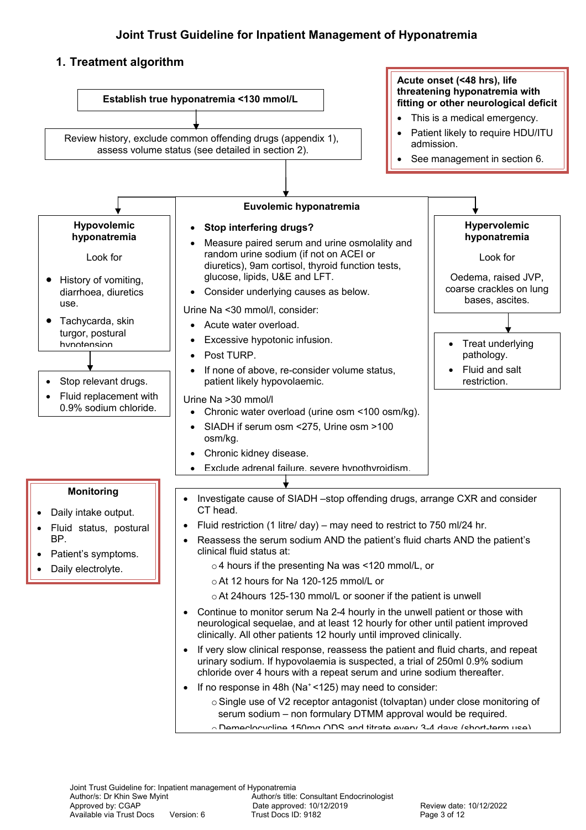### <span id="page-2-0"></span>**1. Treatment algorithm**

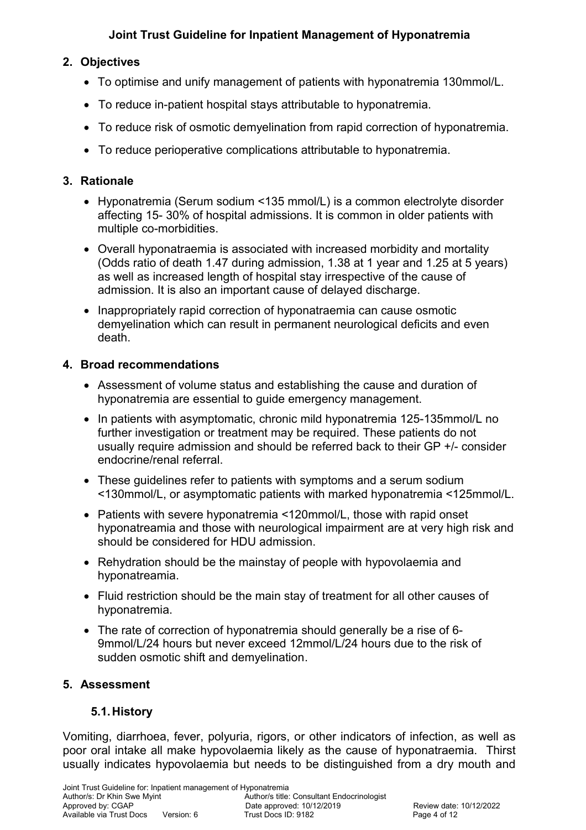# <span id="page-3-4"></span>**2. Objectives**

- To optimise and unify management of patients with hyponatremia 130mmol/L.
- To reduce in-patient hospital stays attributable to hyponatremia.
- To reduce risk of osmotic demyelination from rapid correction of hyponatremia.
- To reduce perioperative complications attributable to hyponatremia.

# <span id="page-3-3"></span>**3. Rationale**

- Hyponatremia (Serum sodium <135 mmol/L) is a common electrolyte disorder affecting 15- 30% of hospital admissions. It is common in older patients with multiple co-morbidities.
- Overall hyponatraemia is associated with increased morbidity and mortality (Odds ratio of death 1.47 during admission, 1.38 at 1 year and 1.25 at 5 years) as well as increased length of hospital stay irrespective of the cause of admission. It is also an important cause of delayed discharge.
- Inappropriately rapid correction of hyponatraemia can cause osmotic demyelination which can result in permanent neurological deficits and even death.

### <span id="page-3-2"></span>**4. Broad recommendations**

- Assessment of volume status and establishing the cause and duration of hyponatremia are essential to guide emergency management.
- In patients with asymptomatic, chronic mild hyponatremia 125-135mmol/L no further investigation or treatment may be required. These patients do not usually require admission and should be referred back to their GP +/- consider endocrine/renal referral.
- These guidelines refer to patients with symptoms and a serum sodium <130mmol/L, or asymptomatic patients with marked hyponatremia <125mmol/L.
- Patients with severe hyponatremia <120mmol/L, those with rapid onset hyponatreamia and those with neurological impairment are at very high risk and should be considered for HDU admission.
- Rehydration should be the mainstay of people with hypovolaemia and hyponatreamia.
- Fluid restriction should be the main stay of treatment for all other causes of hyponatremia.
- The rate of correction of hyponatremia should generally be a rise of 6- 9mmol/L/24 hours but never exceed 12mmol/L/24 hours due to the risk of sudden osmotic shift and demyelination.

# <span id="page-3-1"></span>**5. Assessment**

# <span id="page-3-0"></span>**5.1.History**

Vomiting, diarrhoea, fever, polyuria, rigors, or other indicators of infection, as well as poor oral intake all make hypovolaemia likely as the cause of hyponatraemia. Thirst usually indicates hypovolaemia but needs to be distinguished from a dry mouth and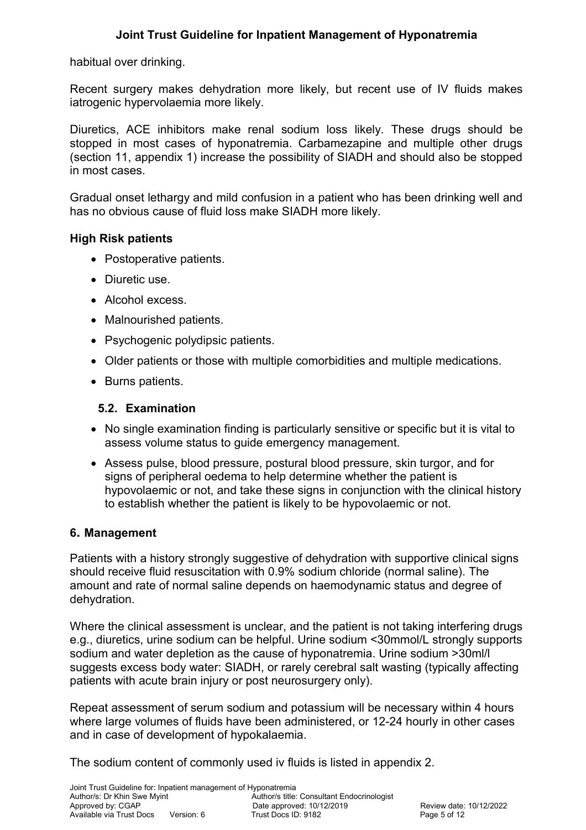habitual over drinking.

Recent surgery makes dehydration more likely, but recent use of IV fluids makes iatrogenic hypervolaemia more likely.

Diuretics, ACE inhibitors make renal sodium loss likely. These drugs should be stopped in most cases of hyponatremia. Carbamezapine and multiple other drugs (section 11, appendix 1) increase the possibility of SIADH and should also be stopped in most cases.

Gradual onset lethargy and mild confusion in a patient who has been drinking well and has no obvious cause of fluid loss make SIADH more likely.

#### **High Risk patients**

- Postoperative patients.
- Diuretic use.
- Alcohol excess.
- Malnourished patients.
- Psychogenic polydipsic patients.
- Older patients or those with multiple comorbidities and multiple medications.
- Burns patients.

#### <span id="page-4-1"></span>**5.2. Examination**

- No single examination finding is particularly sensitive or specific but it is vital to assess volume status to guide emergency management.
- Assess pulse, blood pressure, postural blood pressure, skin turgor, and for signs of peripheral oedema to help determine whether the patient is hypovolaemic or not, and take these signs in conjunction with the clinical history to establish whether the patient is likely to be hypovolaemic or not.

#### <span id="page-4-0"></span>**6. Management**

Patients with a history strongly suggestive of dehydration with supportive clinical signs should receive fluid resuscitation with 0.9% sodium chloride (normal saline). The amount and rate of normal saline depends on haemodynamic status and degree of dehydration.

Where the clinical assessment is unclear, and the patient is not taking interfering drugs e.g., diuretics, urine sodium can be helpful. Urine sodium <30mmol/L strongly supports sodium and water depletion as the cause of hyponatremia. Urine sodium >30ml/l suggests excess body water: SIADH, or rarely cerebral salt wasting (typically affecting patients with acute brain injury or post neurosurgery only).

Repeat assessment of serum sodium and potassium will be necessary within 4 hours where large volumes of fluids have been administered, or 12-24 hourly in other cases and in case of development of hypokalaemia.

The sodium content of commonly used iv fluids is listed in appendix 2.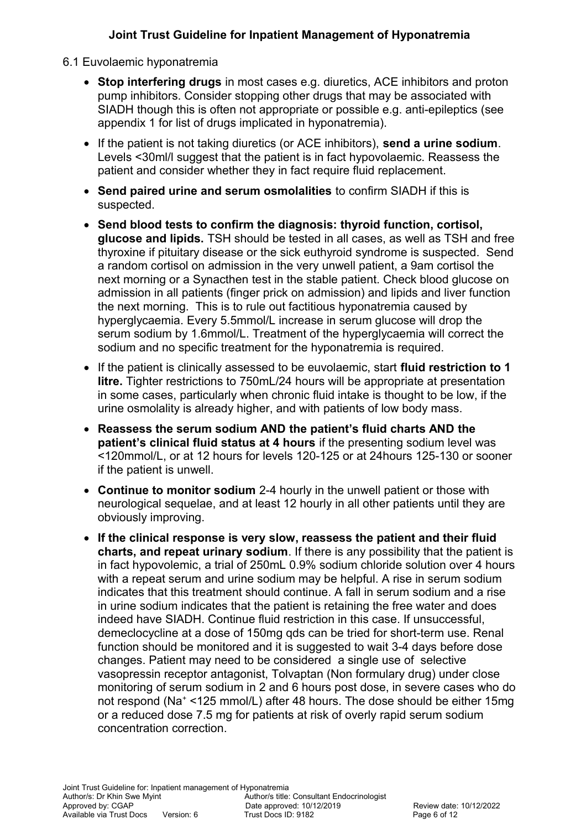#### <span id="page-5-0"></span>6.1 Euvolaemic hyponatremia

- **Stop interfering drugs** in most cases e.g. diuretics, ACE inhibitors and proton pump inhibitors. Consider stopping other drugs that may be associated with SIADH though this is often not appropriate or possible e.g. anti-epileptics (see appendix 1 for list of drugs implicated in hyponatremia).
- If the patient is not taking diuretics (or ACE inhibitors), **send a urine sodium**. Levels <30ml/l suggest that the patient is in fact hypovolaemic. Reassess the patient and consider whether they in fact require fluid replacement.
- **Send paired urine and serum osmolalities** to confirm SIADH if this is suspected.
- **Send blood tests to confirm the diagnosis: thyroid function, cortisol, glucose and lipids.** TSH should be tested in all cases, as well as TSH and free thyroxine if pituitary disease or the sick euthyroid syndrome is suspected. Send a random cortisol on admission in the very unwell patient, a 9am cortisol the next morning or a Synacthen test in the stable patient. Check blood glucose on admission in all patients (finger prick on admission) and lipids and liver function the next morning. This is to rule out factitious hyponatremia caused by hyperglycaemia. Every 5.5mmol/L increase in serum glucose will drop the serum sodium by 1.6mmol/L. Treatment of the hyperglycaemia will correct the sodium and no specific treatment for the hyponatremia is required.
- If the patient is clinically assessed to be euvolaemic, start **fluid restriction to 1 litre.** Tighter restrictions to 750mL/24 hours will be appropriate at presentation in some cases, particularly when chronic fluid intake is thought to be low, if the urine osmolality is already higher, and with patients of low body mass.
- **Reassess the serum sodium AND the patient's fluid charts AND the patient's clinical fluid status at 4 hours** if the presenting sodium level was <120mmol/L, or at 12 hours for levels 120-125 or at 24hours 125-130 or sooner if the patient is unwell.
- **Continue to monitor sodium** 2-4 hourly in the unwell patient or those with neurological sequelae, and at least 12 hourly in all other patients until they are obviously improving.
- **If the clinical response is very slow, reassess the patient and their fluid charts, and repeat urinary sodium**. If there is any possibility that the patient is in fact hypovolemic, a trial of 250mL 0.9% sodium chloride solution over 4 hours with a repeat serum and urine sodium may be helpful. A rise in serum sodium indicates that this treatment should continue. A fall in serum sodium and a rise in urine sodium indicates that the patient is retaining the free water and does indeed have SIADH. Continue fluid restriction in this case. If unsuccessful, demeclocycline at a dose of 150mg qds can be tried for short-term use. Renal function should be monitored and it is suggested to wait 3-4 days before dose changes. Patient may need to be considered a single use of selective vasopressin receptor antagonist, Tolvaptan (Non formulary drug) under close monitoring of serum sodium in 2 and 6 hours post dose, in severe cases who do not respond (Na<sup>+</sup> <125 mmol/L) after 48 hours. The dose should be either 15mg or a reduced dose 7.5 mg for patients at risk of overly rapid serum sodium concentration correction.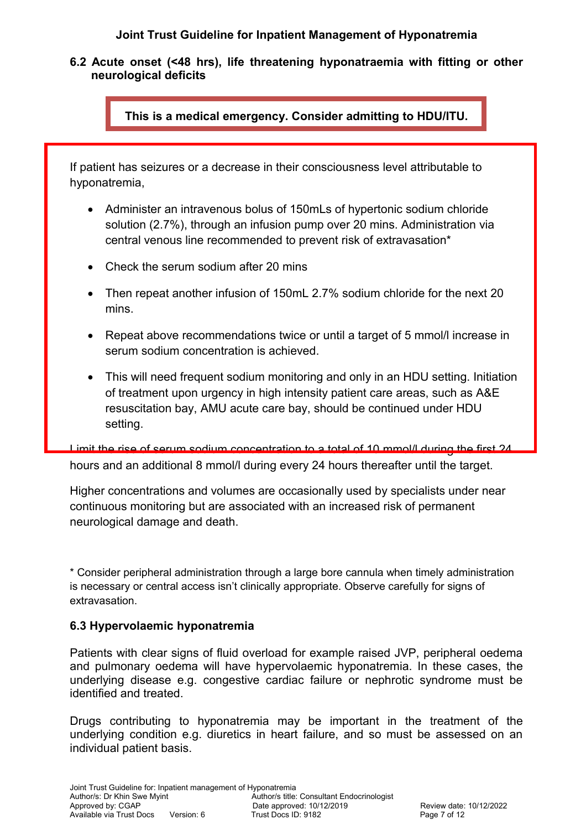<span id="page-6-1"></span>**6.2 Acute onset (<48 hrs), life threatening hyponatraemia with fitting or other neurological deficits**

**This is a medical emergency. Consider admitting to HDU/ITU.**

If patient has seizures or a decrease in their consciousness level attributable to hyponatremia,

- Administer an intravenous bolus of 150mLs of hypertonic sodium chloride solution (2.7%), through an infusion pump over 20 mins. Administration via central venous line recommended to prevent risk of extravasation\*
- Check the serum sodium after 20 mins
- Then repeat another infusion of 150mL 2.7% sodium chloride for the next 20 mins.
- Repeat above recommendations twice or until a target of 5 mmol/l increase in serum sodium concentration is achieved.
- This will need frequent sodium monitoring and only in an HDU setting. Initiation of treatment upon urgency in high intensity patient care areas, such as A&E resuscitation bay, AMU acute care bay, should be continued under HDU setting.

Limit the rise of serum sodium concentration to a total of 10 mmol/l during the first 24 hours and an additional 8 mmol/l during every 24 hours thereafter until the target.

Higher concentrations and volumes are occasionally used by specialists under near continuous monitoring but are associated with an increased risk of permanent neurological damage and death.

\* Consider peripheral administration through a large bore cannula when timely administration is necessary or central access isn't clinically appropriate. Observe carefully for signs of extravasation.

### <span id="page-6-0"></span>**6.3 Hypervolaemic hyponatremia**

Patients with clear signs of fluid overload for example raised JVP, peripheral oedema and pulmonary oedema will have hypervolaemic hyponatremia. In these cases, the underlying disease e.g. congestive cardiac failure or nephrotic syndrome must be identified and treated.

Drugs contributing to hyponatremia may be important in the treatment of the underlying condition e.g. diuretics in heart failure, and so must be assessed on an individual patient basis.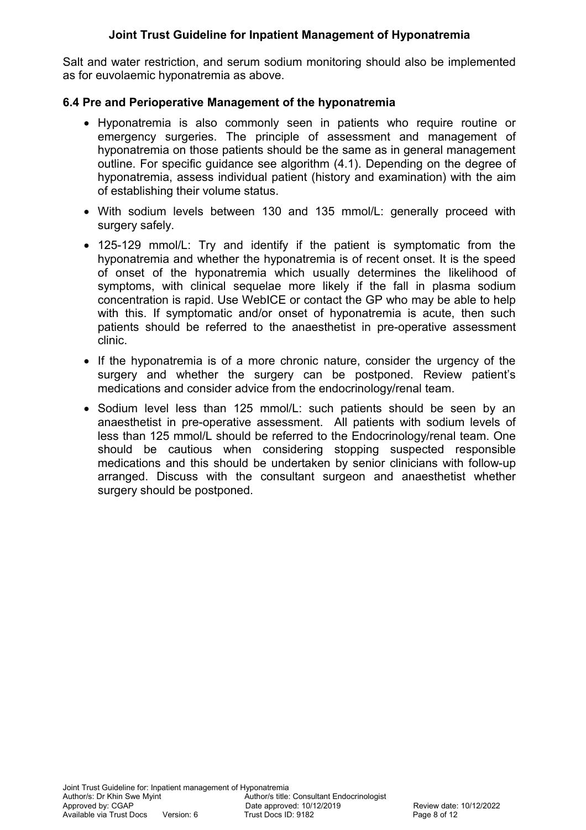Salt and water restriction, and serum sodium monitoring should also be implemented as for euvolaemic hyponatremia as above.

### <span id="page-7-0"></span>**6.4 Pre and Perioperative Management of the hyponatremia**

- Hyponatremia is also commonly seen in patients who require routine or emergency surgeries. The principle of assessment and management of hyponatremia on those patients should be the same as in general management outline. For specific guidance see algorithm (4.1). Depending on the degree of hyponatremia, assess individual patient (history and examination) with the aim of establishing their volume status.
- With sodium levels between 130 and 135 mmol/L: generally proceed with surgery safely.
- 125-129 mmol/L: Try and identify if the patient is symptomatic from the hyponatremia and whether the hyponatremia is of recent onset. It is the speed of onset of the hyponatremia which usually determines the likelihood of symptoms, with clinical sequelae more likely if the fall in plasma sodium concentration is rapid. Use WebICE or contact the GP who may be able to help with this. If symptomatic and/or onset of hyponatremia is acute, then such patients should be referred to the anaesthetist in pre-operative assessment clinic.
- If the hyponatremia is of a more chronic nature, consider the urgency of the surgery and whether the surgery can be postponed. Review patient's medications and consider advice from the endocrinology/renal team.
- Sodium level less than 125 mmol/L: such patients should be seen by an anaesthetist in pre-operative assessment. All patients with sodium levels of less than 125 mmol/L should be referred to the Endocrinology/renal team. One should be cautious when considering stopping suspected responsible medications and this should be undertaken by senior clinicians with follow-up arranged. Discuss with the consultant surgeon and anaesthetist whether surgery should be postponed.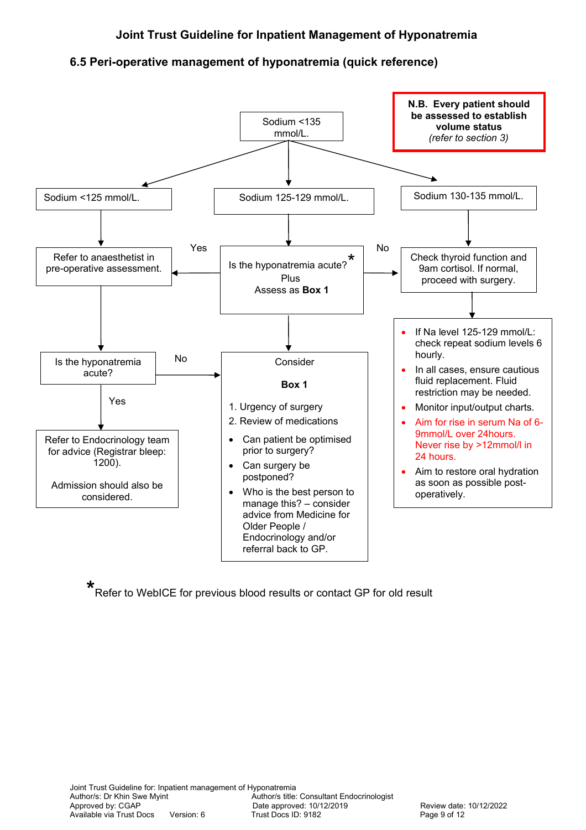### <span id="page-8-0"></span>**6.5 Peri-operative management of hyponatremia (quick reference)**



**\*** Refer to WebICE for previous blood results or contact GP for old result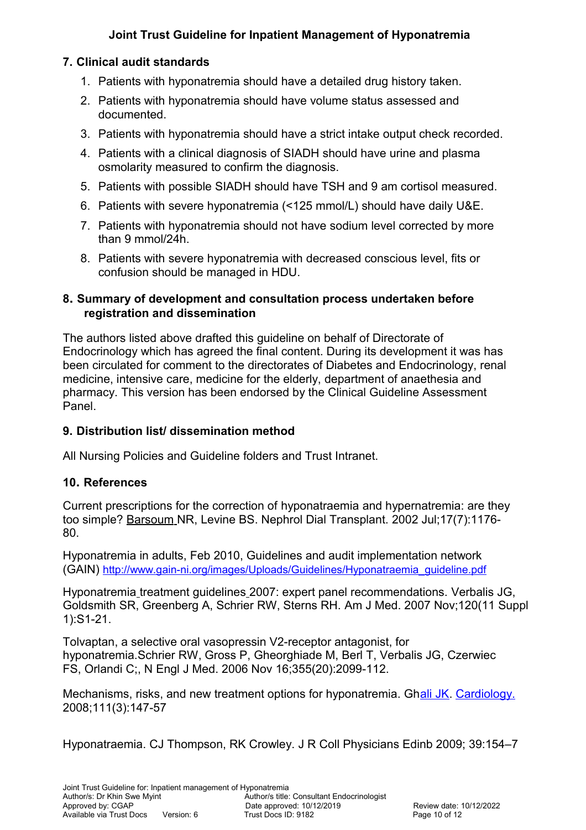# <span id="page-9-3"></span>**7. Clinical audit standards**

- 1. Patients with hyponatremia should have a detailed drug history taken.
- 2. Patients with hyponatremia should have volume status assessed and documented.
- 3. Patients with hyponatremia should have a strict intake output check recorded.
- 4. Patients with a clinical diagnosis of SIADH should have urine and plasma osmolarity measured to confirm the diagnosis.
- 5. Patients with possible SIADH should have TSH and 9 am cortisol measured.
- 6. Patients with severe hyponatremia (<125 mmol/L) should have daily U&E.
- 7. Patients with hyponatremia should not have sodium level corrected by more than 9 mmol/24h.
- 8. Patients with severe hyponatremia with decreased conscious level, fits or confusion should be managed in HDU.

#### <span id="page-9-2"></span>**8. Summary of development and consultation process undertaken before registration and dissemination**

The authors listed above drafted this guideline on behalf of Directorate of Endocrinology which has agreed the final content. During its development it was has been circulated for comment to the directorates of Diabetes and Endocrinology, renal medicine, intensive care, medicine for the elderly, department of anaethesia and pharmacy. This version has been endorsed by the Clinical Guideline Assessment Panel.

### <span id="page-9-1"></span>**9. Distribution list/ dissemination method**

All Nursing Policies and Guideline folders and Trust Intranet.

### <span id="page-9-0"></span>**10. References**

Current prescriptions for the correction of hyponatraemia and hypernatremia: are they too simple? [Barsoum](http://www.ncbi.nlm.nih.gov/pubmed?term=Barsoum%20NR%5BAuthor%5D&cauthor=true&cauthor_uid=12105238) NR, [Levine BS.](http://www.ncbi.nlm.nih.gov/pubmed?term=Levine%20BS%5BAuthor%5D&cauthor=true&cauthor_uid=12105238) [Nephrol Dial Transplant.](http://www.ncbi.nlm.nih.gov/pubmed?term=barsoum%20and%20hyponatremia) 2002 Jul;17(7):1176- 80.

Hyponatremia in adults, Feb 2010, Guidelines and audit implementation network (GAIN) [http://www.gain-ni.org/images/Uploads/Guidelines/Hyponatraemia\\_guideline.pdf](http://www.gain-ni.org/images/Uploads/Guidelines/Hyponatraemia_guideline.pdf)

Hyponatremia treatment guidelines [2007: expert panel recommendations.](http://www.ncbi.nlm.nih.gov/pubmed/17981159) Verbalis JG, Goldsmith SR, Greenberg A, Schrier RW, Sterns RH. Am J Med. 2007 Nov;120(11 Suppl 1):S1-21.

[Tolvaptan, a selective oral vasopressin V2-receptor antagonist, for](http://www.ncbi.nlm.nih.gov/pubmed/17105757)  [hyponatremia.S](http://www.ncbi.nlm.nih.gov/pubmed/17105757)chrier RW, Gross P, Gheorghiade M, Berl T, Verbalis JG, Czerwiec FS, Orlandi C;, N Engl J Med. 2006 Nov 16;355(20):2099-112.

Mechanisms, risks, and new treatment options for hyponatremia. G[hali JK.](http://www.ncbi.nlm.nih.gov/pubmed?term=%22Ghali%20JK%22%5BAuthor%5D) [Cardiology.](http://www.ncbi.nlm.nih.gov/pubmed/18434717) 2008;111(3):147-57

Hyponatraemia. CJ Thompson, RK Crowley. J R Coll Physicians Edinb 2009; 39:154–7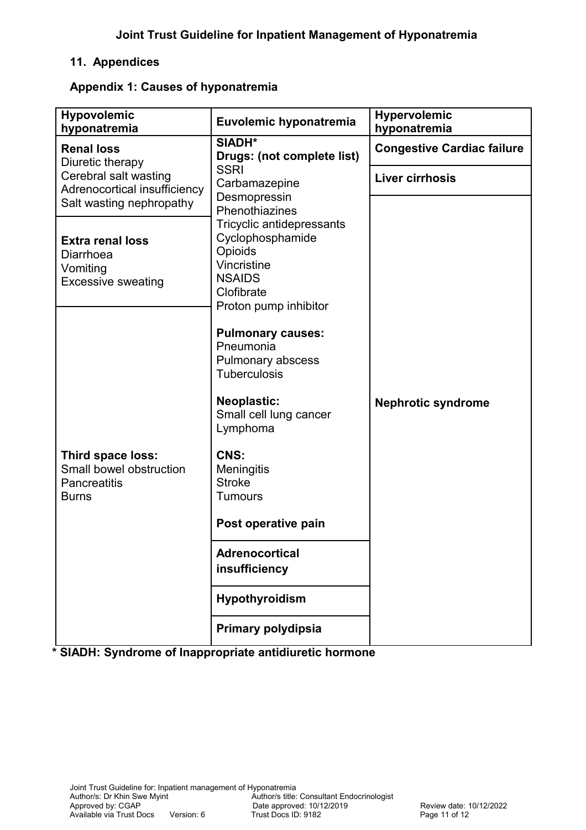# <span id="page-10-1"></span>**11. Appendices**

#### <span id="page-10-0"></span>**Appendix 1: Causes of hyponatremia**

| <b>Hypovolemic</b><br>hyponatremia                                                                        | Euvolemic hyponatremia                                                                                                                                                                                                                                                                                                 | <b>Hypervolemic</b><br>hyponatremia |
|-----------------------------------------------------------------------------------------------------------|------------------------------------------------------------------------------------------------------------------------------------------------------------------------------------------------------------------------------------------------------------------------------------------------------------------------|-------------------------------------|
| <b>Renal loss</b><br>Diuretic therapy<br>Cerebral salt wasting<br>Adrenocortical insufficiency            | SIADH*<br>Drugs: (not complete list)<br><b>SSRI</b><br>Carbamazepine<br>Desmopressin<br>Phenothiazines<br>Tricyclic antidepressants<br>Cyclophosphamide<br>Opioids<br>Vincristine<br><b>NSAIDS</b><br>Clofibrate<br>Proton pump inhibitor                                                                              | <b>Congestive Cardiac failure</b>   |
|                                                                                                           |                                                                                                                                                                                                                                                                                                                        | Liver cirrhosis                     |
| Salt wasting nephropathy<br><b>Extra renal loss</b><br>Diarrhoea<br>Vomiting<br><b>Excessive sweating</b> |                                                                                                                                                                                                                                                                                                                        |                                     |
| Third space loss:<br>Small bowel obstruction<br><b>Pancreatitis</b><br><b>Burns</b>                       | <b>Pulmonary causes:</b><br>Pneumonia<br>Pulmonary abscess<br><b>Tuberculosis</b><br><b>Neoplastic:</b><br>Small cell lung cancer<br>Lymphoma<br>CNS:<br>Meningitis<br><b>Stroke</b><br><b>Tumours</b><br>Post operative pain<br><b>Adrenocortical</b><br>insufficiency<br><b>Hypothyroidism</b><br>Primary polydipsia | <b>Nephrotic syndrome</b>           |

**\* SIADH: Syndrome of Inappropriate antidiuretic hormone**